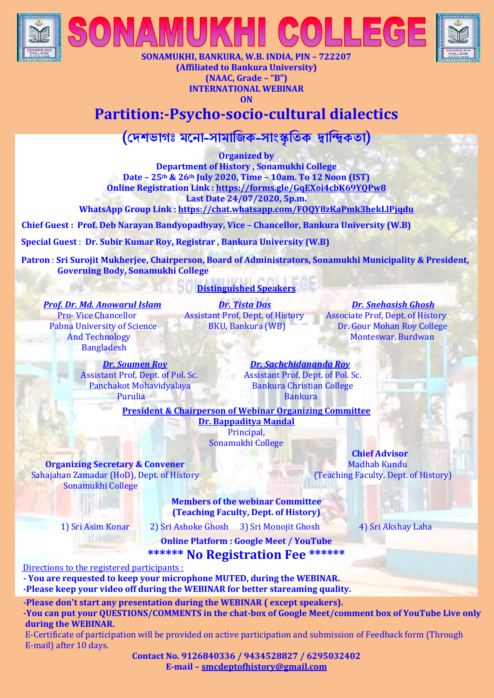



**SONAMUKHI, BANKURA, W.B. INDIA, PIN – 722207 (Affiliated to Bankura University) (NAAC, Grade – "B") INTERNATIONAL WEBINAR ON** 

 $\mathbb{H}$  (CO)

## **Partition:-Psycho-socio-cultural dialectics**

(**দেশভাগঃ মন া**-**সামাজিক**-**সাাংস্কৃজিক দ্বাজিকিা**)

**Organized by Department of History , Sonamukhi College Date – 25th & 26th July 2020, Time – 10am. To 12 Noon (IST) Online Registration Link [: https://forms.gle/GqEXoi4cbK69YQPw8](https://forms.gle/GqEXoi4cbK69YQPw8) Last Date 24/07/2020, 5p.m.**

**WhatsApp Group Link [: https://chat.whatsapp.com/FOQY8zKaPmk3hekLlPjqdu](https://chat.whatsapp.com/FOQY8zKaPmk3hekLlPjqdu)** 

**Chief Guest : Prof. Deb Narayan Bandyopadhyay, Vice – Chancellor, Bankura University (W.B)**

**Special Guest** : **Dr. Subir Kumar Roy, Registrar , Bankura University (W.B)**

 **Patron** : **Sri Surojit Mukherjee, Chairperson, Board of Administrators, Sonamukhi Municipality & President, Governing Body, Sonamukhi College**

## **Distinguished Speakers**

 *Prof. Dr. Md. Anowarul Islam Dr. Tista Das Dr. Snehasish Ghosh* Bangladesh

Pro- Vice Chancellor **Assistant Prof, Dept. of History** Associate Prof, Dept. of History Pabna University of Science BKU, Bankura (WB) Dr. Gour Mohan Roy College **And Technology Monteswar, Burdwan** 

Assistant Prof, Dept. of Pol. Sc.<br>
Panchakot Mohavidvalava<br>
Bankura Christian College Panchakot Mohavidyalaya e de la Purulia de la Bankura de la Bankura de la Bankura de la Bankura de la Bankura de la Bankura de la Bankura d

*Dr. Soumen Roy Dr. Sachchidananda Roy*

**President & Chairperson of Webinar Organizing Committee** 

**Dr. Bappaditya Mandal** Principal, Sonamukhi College

**Organizing Secretary & Convener** Madhab Kundu Sahajahan Zamadar (HoD), Dept. of History (Teaching Faculty, Dept. of History) Sonamukhi College

> **Members of the webinar Committee (Teaching Faculty, Dept. of History)**

1) Sri Asim Konar 2) Sri Ashoke Ghosh 3) Sri Monojit Ghosh 4) Sri Akshay Laha

**Chief Advisor**

**Online Platform : Google Meet / YouTube \*\*\*\*\*\* No Registration Fee \*\*\*\*\*\***

Directions to the registered participants :

 **- You are requested to keep your microphone MUTED, during the WEBINAR.**

 **-Please keep your video off during the WEBINAR for better stareaming quality.**

 **-Please don't start any presentation during the WEBINAR ( except speakers).**

 **-You can put your QUESTIONS/COMMENTS in the chat-box of Google Meet/comment box of YouTube Live only during the WEBINAR.**

 E-Certificate of participation will be provided on active participation and submission of Feedback form (Through E-mail) after 10 days.

> **Contact No. 9126840336 / 9434528827 / 6295032402 E-mail – [smcdeptofhistory@gmail.com](mailto:smcdeptofhistory@gmail.com)**